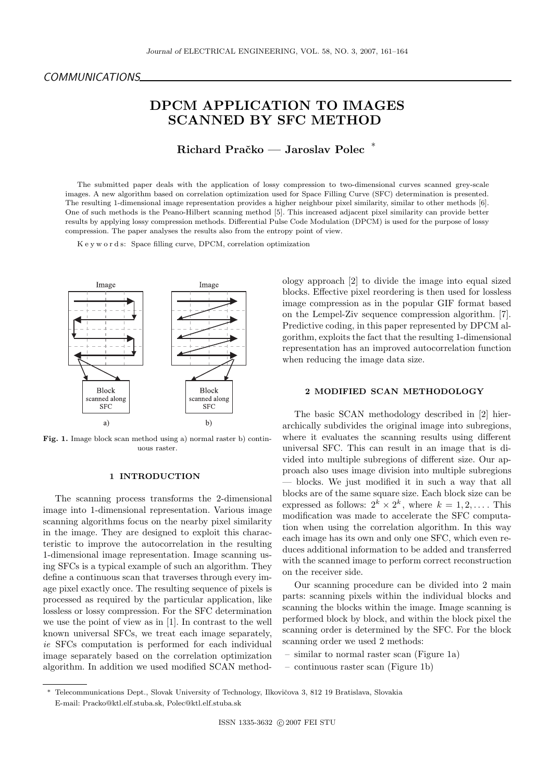# DPCM APPLICATION TO IMAGES SCANNED BY SFC METHOD

Richard Pračko — Jaroslav Polec\*

The submitted paper deals with the application of lossy compression to two-dimensional curves scanned grey-scale images. A new algorithm based on correlation optimization used for Space Filling Curve (SFC) determination is presented. The resulting 1-dimensional image representation provides a higher neighbour pixel similarity, similar to other methods [6]. One of such methods is the Peano-Hilbert scanning method [5]. This increased adjacent pixel similarity can provide better results by applying lossy compression methods. Differential Pulse Code Modulation (DPCM) is used for the purpose of lossy compression. The paper analyses the results also from the entropy point of view.

K e y w o r d s: Space filling curve, DPCM, correlation optimization



Fig. 1. Image block scan method using a) normal raster b) continuous raster.

#### 1 INTRODUCTION

The scanning process transforms the 2-dimensional image into 1-dimensional representation. Various image scanning algorithms focus on the nearby pixel similarity in the image. They are designed to exploit this characteristic to improve the autocorrelation in the resulting 1-dimensional image representation. Image scanning using SFCs is a typical example of such an algorithm. They define a continuous scan that traverses through every image pixel exactly once. The resulting sequence of pixels is processed as required by the particular application, like lossless or lossy compression. For the SFC determination we use the point of view as in [1]. In contrast to the well known universal SFCs, we treat each image separately, ie SFCs computation is performed for each individual image separately based on the correlation optimization algorithm. In addition we used modified SCAN methodology approach [2] to divide the image into equal sized blocks. Effective pixel reordering is then used for lossless image compression as in the popular GIF format based on the Lempel-Ziv sequence compression algorithm. [7]. Predictive coding, in this paper represented by DPCM algorithm, exploits the fact that the resulting 1-dimensional representation has an improved autocorrelation function when reducing the image data size.

## 2 MODIFIED SCAN METHODOLOGY

The basic SCAN methodology described in [2] hierarchically subdivides the original image into subregions, where it evaluates the scanning results using different universal SFC. This can result in an image that is divided into multiple subregions of different size. Our approach also uses image division into multiple subregions — blocks. We just modified it in such a way that all blocks are of the same square size. Each block size can be expressed as follows:  $2^k \times 2^k$ , where  $k = 1, 2, \dots$ . This modification was made to accelerate the SFC computation when using the correlation algorithm. In this way each image has its own and only one SFC, which even reduces additional information to be added and transferred with the scanned image to perform correct reconstruction on the receiver side.

Our scanning procedure can be divided into 2 main parts: scanning pixels within the individual blocks and scanning the blocks within the image. Image scanning is performed block by block, and within the block pixel the scanning order is determined by the SFC. For the block scanning order we used 2 methods:

- similar to normal raster scan (Figure 1a)
- continuous raster scan (Figure 1b)

Telecommunications Dept., Slovak University of Technology, Ilkovičova 3, 812 19 Bratislava, Slovakia E-mail: Pracko@ktl.elf.stuba.sk, Polec@ktl.elf.stuba.sk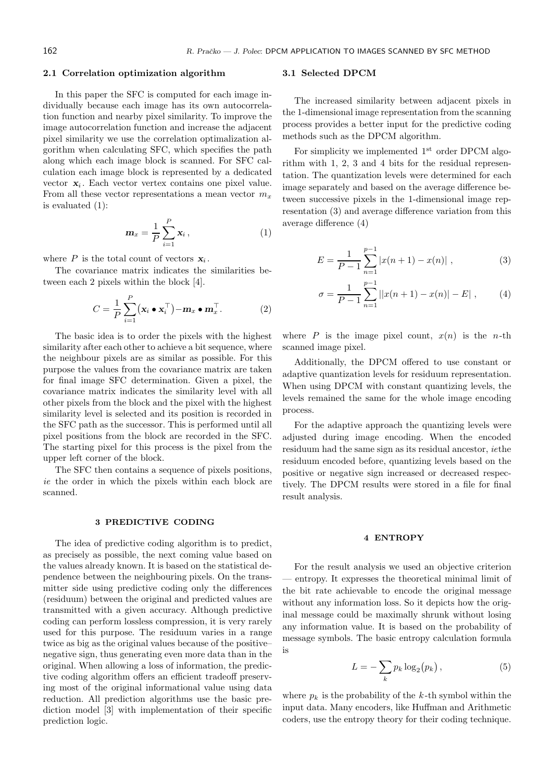## 2.1 Correlation optimization algorithm

In this paper the SFC is computed for each image individually because each image has its own autocorrelation function and nearby pixel similarity. To improve the image autocorrelation function and increase the adjacent pixel similarity we use the correlation optimalization algorithm when calculating SFC, which specifies the path along which each image block is scanned. For SFC calculation each image block is represented by a dedicated vector  $x_i$ . Each vector vertex contains one pixel value. From all these vector representations a mean vector  $m_x$ is evaluated (1):

$$
\mathbf{m}_x = \frac{1}{P} \sum_{i=1}^P \mathbf{x}_i , \qquad (1)
$$

where  $P$  is the total count of vectors  $x_i$ .

The covariance matrix indicates the similarities between each 2 pixels within the block [4].

$$
C = \frac{1}{P} \sum_{i=1}^{P} (\mathbf{x}_i \bullet \mathbf{x}_i^{\top}) - \mathbf{m}_x \bullet \mathbf{m}_x^{\top}.
$$
 (2)

The basic idea is to order the pixels with the highest similarity after each other to achieve a bit sequence, where the neighbour pixels are as similar as possible. For this purpose the values from the covariance matrix are taken for final image SFC determination. Given a pixel, the covariance matrix indicates the similarity level with all other pixels from the block and the pixel with the highest similarity level is selected and its position is recorded in the SFC path as the successor. This is performed until all pixel positions from the block are recorded in the SFC. The starting pixel for this process is the pixel from the upper left corner of the block.

The SFC then contains a sequence of pixels positions, ie the order in which the pixels within each block are scanned.

#### 3 PREDICTIVE CODING

The idea of predictive coding algorithm is to predict, as precisely as possible, the next coming value based on the values already known. It is based on the statistical dependence between the neighbouring pixels. On the transmitter side using predictive coding only the differences (residuum) between the original and predicted values are transmitted with a given accuracy. Although predictive coding can perform lossless compression, it is very rarely used for this purpose. The residuum varies in a range twice as big as the original values because of the positive– negative sign, thus generating even more data than in the original. When allowing a loss of information, the predictive coding algorithm offers an efficient tradeoff preserving most of the original informational value using data reduction. All prediction algorithms use the basic prediction model [3] with implementation of their specific prediction logic.

### 3.1 Selected DPCM

The increased similarity between adjacent pixels in the 1-dimensional image representation from the scanning process provides a better input for the predictive coding methods such as the DPCM algorithm.

For simplicity we implemented  $1<sup>st</sup>$  order DPCM algorithm with 1, 2, 3 and 4 bits for the residual representation. The quantization levels were determined for each image separately and based on the average difference between successive pixels in the 1-dimensional image representation (3) and average difference variation from this average difference (4)

$$
E = \frac{1}{P-1} \sum_{n=1}^{p-1} |x(n+1) - x(n)| , \qquad (3)
$$

$$
\sigma = \frac{1}{P-1} \sum_{n=1}^{P-1} ||x(n+1) - x(n)| - E| , \qquad (4)
$$

where P is the image pixel count,  $x(n)$  is the n-th scanned image pixel.

Additionally, the DPCM offered to use constant or adaptive quantization levels for residuum representation. When using DPCM with constant quantizing levels, the levels remained the same for the whole image encoding process.

For the adaptive approach the quantizing levels were adjusted during image encoding. When the encoded residuum had the same sign as its residual ancestor, iethe residuum encoded before, quantizing levels based on the positive or negative sign increased or decreased respectively. The DPCM results were stored in a file for final result analysis.

#### 4 ENTROPY

For the result analysis we used an objective criterion — entropy. It expresses the theoretical minimal limit of the bit rate achievable to encode the original message without any information loss. So it depicts how the original message could be maximally shrunk without losing any information value. It is based on the probability of message symbols. The basic entropy calculation formula is

$$
L = -\sum_{k} p_k \log_2(p_k), \qquad (5)
$$

where  $p_k$  is the probability of the k-th symbol within the input data. Many encoders, like Huffman and Arithmetic coders, use the entropy theory for their coding technique.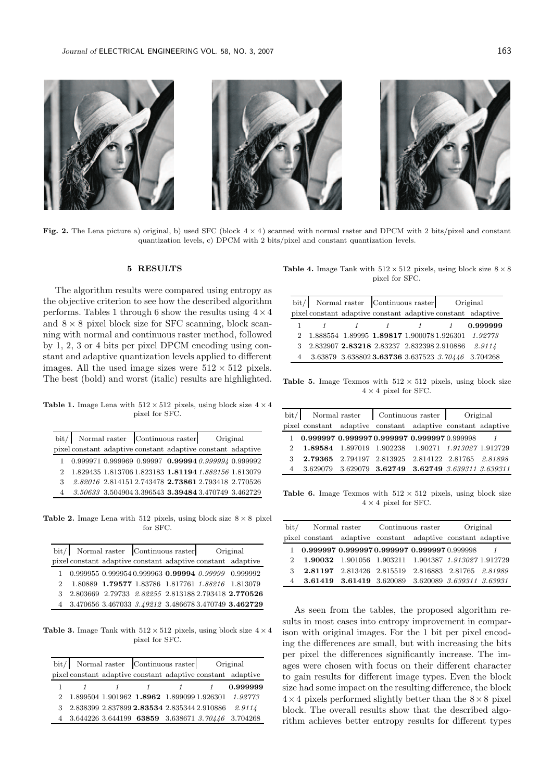

Fig. 2. The Lena picture a) original, b) used SFC (block  $4 \times 4$ ) scanned with normal raster and DPCM with 2 bits/pixel and constant quantization levels, c) DPCM with 2 bits/pixel and constant quantization levels.

## 5 RESULTS

The algorithm results were compared using entropy as the objective criterion to see how the described algorithm performs. Tables 1 through 6 show the results using  $4 \times 4$ and  $8 \times 8$  pixel block size for SFC scanning, block scanning with normal and continuous raster method, followed by 1, 2, 3 or 4 bits per pixel DPCM encoding using constant and adaptive quantization levels applied to different images. All the used image sizes were  $512 \times 512$  pixels. The best (bold) and worst (italic) results are highlighted.

Table 1. Image Lena with  $512 \times 512$  pixels, using block size  $4 \times 4$ pixel for SFC.

|   | Normal raster Continuous raster<br>bit/ |  |  | Original                                                                                     |  |
|---|-----------------------------------------|--|--|----------------------------------------------------------------------------------------------|--|
|   |                                         |  |  | pixel constant adaptive constant adaptive constant adaptive                                  |  |
|   |                                         |  |  | $1$ 0.999971 0.999969 0.99997 0.99994 0.999994 0.999992                                      |  |
|   |                                         |  |  | $2 \quad 1.829435 \; \, 1.813706 \; 1.823183 \; \, {\bf 1.81194} \; 1.882156 \; \, 1.813079$ |  |
| 3 |                                         |  |  | 2.82016 2.814151 2.743478 2.73861 2.793418 2.770526                                          |  |
|   |                                         |  |  | 4 3.50633 3.504904 3.396543 3.39484 3.470749 3.462729                                        |  |

Table 2. Image Lena with 512 pixels, using block size  $8 \times 8$  pixel for SFC.

| bit/ Normal raster Continuous raster |  |  | Original |                                                             |  |
|--------------------------------------|--|--|----------|-------------------------------------------------------------|--|
|                                      |  |  |          | pixel constant adaptive constant adaptive constant adaptive |  |
|                                      |  |  |          | $1$ 0.999955 0.999954 0.999963 0.99994 0.99999 0.999992     |  |
|                                      |  |  |          | 2 1.80889 1.79577 1.83786 1.817761 1.88216 1.813079         |  |
|                                      |  |  |          | 3 2.803669 2.79733 2.82255 2.813188 2.793418 2.770526       |  |
|                                      |  |  |          | 4 3.470656 3.467033 3.49212 3.486678 3.470749 3.462729      |  |

**Table 3.** Image Tank with  $512 \times 512$  pixels, using block size  $4 \times 4$ pixel for SFC.

|                                                      | bit/ Normal raster Continuous raster Original |             |                                                             |
|------------------------------------------------------|-----------------------------------------------|-------------|-------------------------------------------------------------|
|                                                      |                                               |             | pixel constant adaptive constant adaptive constant adaptive |
|                                                      |                                               | $1 \quad 1$ | 0.999999                                                    |
|                                                      |                                               |             | 2 1.899504 1.901962 1.8962 1.899099 1.926301 1.92773        |
| 3 2.838399 2.837899 2.83534 2.835344 2.910886 2.9114 |                                               |             |                                                             |
|                                                      |                                               |             | 4 3.644226 3.644199 63859 3.638671 3.70446 3.704268         |

Table 4. Image Tank with  $512 \times 512$  pixels, using block size  $8 \times 8$ pixel for SFC.

| bit/ Normal raster Continuous raster |  |                                              | Original                    |                                                                     |
|--------------------------------------|--|----------------------------------------------|-----------------------------|---------------------------------------------------------------------|
|                                      |  |                                              |                             | pixel constant adaptive constant adaptive constant adaptive         |
|                                      |  |                                              | $\frac{1}{1}$ $\frac{1}{1}$ | 0.999999                                                            |
|                                      |  |                                              |                             | 2 1.888554 1.89995 1.89817 1.900078 1.926301 1.92773                |
|                                      |  | 3 2.832907 2.83218 2.83237 2.832398 2.910886 |                             | 2.9114                                                              |
|                                      |  |                                              |                             | $3.63879$ $3.638802$ <b>3.63736</b> $3.637523$ $3.70446$ $3.704268$ |

Table 5. Image Texmos with  $512 \times 512$  pixels, using block size  $4 \times 4$  pixel for SFC.

|   | bit/ Normal raster Continuous raster Original               |  |                                                    |  |  |
|---|-------------------------------------------------------------|--|----------------------------------------------------|--|--|
|   | pixel constant adaptive constant adaptive constant adaptive |  |                                                    |  |  |
|   | $1\quad 0.999997\ 0.9999970.999997\ 0.9999970.999998$ $1$   |  |                                                    |  |  |
|   | 2 1.89584 1.897019 1.902238 1.90271 1.913027 1.912729       |  |                                                    |  |  |
| 3 |                                                             |  | 2.79365 2.794197 2.813925 2.814122 2.81765 2.81898 |  |  |
|   | 4 3.629079 3.629079 3.62749 3.62749 3.639311 3.639311       |  |                                                    |  |  |

Table 6. Image Texmos with  $512 \times 512$  pixels, using block size  $4 \times 4$  pixel for SFC.

| bit/ Normal raster Continuous raster |  |  | Original                                                    |  |  |
|--------------------------------------|--|--|-------------------------------------------------------------|--|--|
|                                      |  |  | pixel constant adaptive constant adaptive constant adaptive |  |  |
|                                      |  |  | $1\quad 0.999997\ 0.9999970.999997\ 0.9999970.999998$       |  |  |
|                                      |  |  | 1.90032 1.901056 1.903211 1.904387 1.913027 1.912729        |  |  |
|                                      |  |  | 3 2.81197 2.813426 2.815519 2.816883 2.81765 2.81989        |  |  |
|                                      |  |  | <b>3.61419 3.61419</b> 3.620089 3.620089 3.639311 3.63931   |  |  |

As seen from the tables, the proposed algorithm results in most cases into entropy improvement in comparison with original images. For the 1 bit per pixel encoding the differences are small, but with increasing the bits per pixel the differences significantly increase. The images were chosen with focus on their different character to gain results for different image types. Even the block size had some impact on the resulting difference, the block  $4\times4$  pixels performed slightly better than the  $8\times8$  pixel block. The overall results show that the described algorithm achieves better entropy results for different types